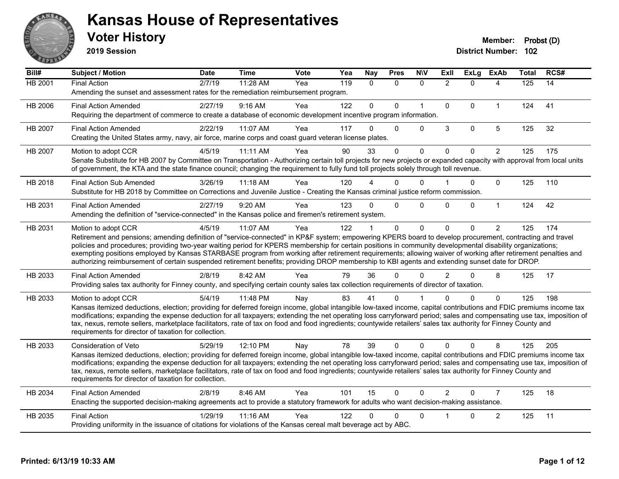

**2019 Session**

| Bill#          | Subject / Motion                                                                                                                                                                                                                                                                                                                             | <b>Date</b> | <b>Time</b> | Vote | Yea | <b>Nay</b>   | <b>Pres</b> | <b>NIV</b>   | Exll           | <b>ExLg</b>  | <b>ExAb</b>    | <b>Total</b> | RCS# |
|----------------|----------------------------------------------------------------------------------------------------------------------------------------------------------------------------------------------------------------------------------------------------------------------------------------------------------------------------------------------|-------------|-------------|------|-----|--------------|-------------|--------------|----------------|--------------|----------------|--------------|------|
| <b>HB 2001</b> | <b>Final Action</b>                                                                                                                                                                                                                                                                                                                          | 2/7/19      | 11:28 AM    | Yea  | 119 | $\Omega$     | $\Omega$    | $\mathbf{0}$ | $\overline{2}$ | $\Omega$     | 4              | 125          | 14   |
|                | Amending the sunset and assessment rates for the remediation reimbursement program.                                                                                                                                                                                                                                                          |             |             |      |     |              |             |              |                |              |                |              |      |
| HB 2006        | <b>Final Action Amended</b>                                                                                                                                                                                                                                                                                                                  | 2/27/19     | $9:16$ AM   | Yea  | 122 | $\mathbf{0}$ | $\Omega$    | $\mathbf{1}$ | $\Omega$       | $\Omega$     | $\mathbf{1}$   | 124          | 41   |
|                | Requiring the department of commerce to create a database of economic development incentive program information.                                                                                                                                                                                                                             |             |             |      |     |              |             |              |                |              |                |              |      |
| HB 2007        | <b>Final Action Amended</b>                                                                                                                                                                                                                                                                                                                  | 2/22/19     | 11:07 AM    | Yea  | 117 | 0            | $\Omega$    | $\Omega$     | 3              | $\mathbf{0}$ | 5              | 125          | 32   |
|                | Creating the United States army, navy, air force, marine corps and coast guard veteran license plates.                                                                                                                                                                                                                                       |             |             |      |     |              |             |              |                |              |                |              |      |
| HB 2007        | Motion to adopt CCR                                                                                                                                                                                                                                                                                                                          | 4/5/19      | 11:11 AM    | Yea  | 90  | 33           | 0           | $\mathbf 0$  | $\Omega$       | $\Omega$     | $\overline{2}$ | 125          | 175  |
|                | Senate Substitute for HB 2007 by Committee on Transportation - Authorizing certain toll projects for new projects or expanded capacity with approval from local units                                                                                                                                                                        |             |             |      |     |              |             |              |                |              |                |              |      |
|                | of government, the KTA and the state finance council; changing the requirement to fully fund toll projects solely through toll revenue.                                                                                                                                                                                                      |             |             |      |     |              |             |              |                |              |                |              |      |
| HB 2018        | <b>Final Action Sub Amended</b>                                                                                                                                                                                                                                                                                                              | 3/26/19     | 11:18 AM    | Yea  | 120 |              | 0           | $\Omega$     |                | $\Omega$     | $\Omega$       | 125          | 110  |
|                | Substitute for HB 2018 by Committee on Corrections and Juvenile Justice - Creating the Kansas criminal justice reform commission.                                                                                                                                                                                                            |             |             |      |     |              |             |              |                |              |                |              |      |
| HB 2031        | <b>Final Action Amended</b>                                                                                                                                                                                                                                                                                                                  | 2/27/19     | 9:20 AM     | Yea  | 123 | $\Omega$     | $\Omega$    | $\Omega$     | $\Omega$       | $\Omega$     | $\mathbf{1}$   | 124          | 42   |
|                | Amending the definition of "service-connected" in the Kansas police and firemen's retirement system.                                                                                                                                                                                                                                         |             |             |      |     |              |             |              |                |              |                |              |      |
| HB 2031        | Motion to adopt CCR                                                                                                                                                                                                                                                                                                                          | 4/5/19      | 11:07 AM    | Yea  | 122 |              | $\Omega$    | $\mathbf{0}$ | $\mathbf 0$    | $\Omega$     | $\overline{2}$ | 125          | 174  |
|                | Retirement and pensions; amending definition of "service-connected" in KP&F system; empowering KPERS board to develop procurement, contracting and travel                                                                                                                                                                                    |             |             |      |     |              |             |              |                |              |                |              |      |
|                | policies and procedures; providing two-year waiting period for KPERS membership for certain positions in community developmental disability organizations;<br>exempting positions employed by Kansas STARBASE program from working after retirement requirements; allowing waiver of working after retirement penalties and                  |             |             |      |     |              |             |              |                |              |                |              |      |
|                | authorizing reimbursement of certain suspended retirement benefits; providing DROP membership to KBI agents and extending sunset date for DROP.                                                                                                                                                                                              |             |             |      |     |              |             |              |                |              |                |              |      |
| HB 2033        | <b>Final Action Amended</b>                                                                                                                                                                                                                                                                                                                  | 2/8/19      | 8:42 AM     | Yea  | 79  | 36           | 0           | $\Omega$     | $\mathcal{P}$  | $\Omega$     | 8              | 125          | 17   |
|                | Providing sales tax authority for Finney county, and specifying certain county sales tax collection requirements of director of taxation.                                                                                                                                                                                                    |             |             |      |     |              |             |              |                |              |                |              |      |
| HB 2033        | Motion to adopt CCR                                                                                                                                                                                                                                                                                                                          | 5/4/19      | 11:48 PM    | Nay  | 83  | 41           | 0           |              | U              | 0            | $\Omega$       | 125          | 198  |
|                | Kansas itemized deductions, election; providing for deferred foreign income, global intangible low-taxed income, capital contributions and FDIC premiums income tax                                                                                                                                                                          |             |             |      |     |              |             |              |                |              |                |              |      |
|                | modifications; expanding the expense deduction for all taxpayers; extending the net operating loss carryforward period; sales and compensating use tax, imposition of                                                                                                                                                                        |             |             |      |     |              |             |              |                |              |                |              |      |
|                | tax, nexus, remote sellers, marketplace facilitators, rate of tax on food and food ingredients; countywide retailers' sales tax authority for Finney County and<br>requirements for director of taxation for collection.                                                                                                                     |             |             |      |     |              |             |              |                |              |                |              |      |
|                |                                                                                                                                                                                                                                                                                                                                              |             |             |      |     |              |             |              |                |              |                |              |      |
| HB 2033        | Consideration of Veto                                                                                                                                                                                                                                                                                                                        | 5/29/19     | 12:10 PM    | Nay  | 78  | 39           | $\Omega$    | $\Omega$     | $\Omega$       | $\Omega$     | 8              | 125          | 205  |
|                | Kansas itemized deductions, election; providing for deferred foreign income, global intangible low-taxed income, capital contributions and FDIC premiums income tax<br>modifications; expanding the expense deduction for all taxpayers; extending the net operating loss carryforward period; sales and compensating use tax, imposition of |             |             |      |     |              |             |              |                |              |                |              |      |
|                | tax, nexus, remote sellers, marketplace facilitators, rate of tax on food and food ingredients; countywide retailers' sales tax authority for Finney County and                                                                                                                                                                              |             |             |      |     |              |             |              |                |              |                |              |      |
|                | requirements for director of taxation for collection.                                                                                                                                                                                                                                                                                        |             |             |      |     |              |             |              |                |              |                |              |      |
| HB 2034        | <b>Final Action Amended</b>                                                                                                                                                                                                                                                                                                                  | 2/8/19      | 8:46 AM     | Yea  | 101 | 15           | $\Omega$    | $\Omega$     | $\overline{2}$ | $\Omega$     | $\overline{7}$ | 125          | 18   |
|                | Enacting the supported decision-making agreements act to provide a statutory framework for adults who want decision-making assistance.                                                                                                                                                                                                       |             |             |      |     |              |             |              |                |              |                |              |      |
| HB 2035        | <b>Final Action</b>                                                                                                                                                                                                                                                                                                                          | 1/29/19     | 11:16 AM    | Yea  | 122 | 0            | 0           | $\Omega$     |                | $\Omega$     | $\overline{c}$ | 125          | 11   |
|                | Providing uniformity in the issuance of citations for violations of the Kansas cereal malt beverage act by ABC.                                                                                                                                                                                                                              |             |             |      |     |              |             |              |                |              |                |              |      |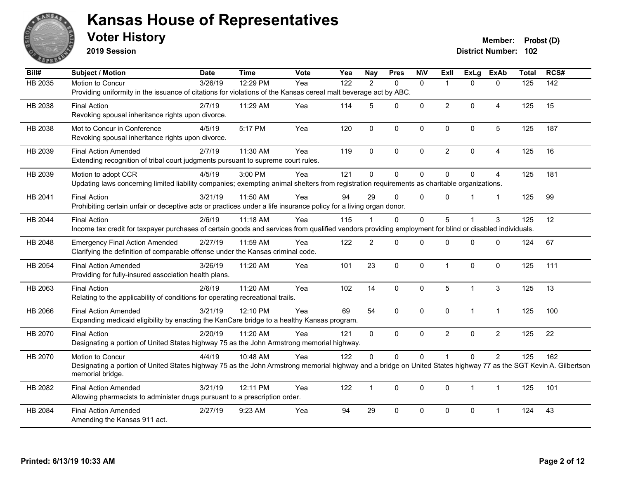

**2019 Session**

**Voter History Member: Probst (D)** 

| Bill#          | <b>Subject / Motion</b>                                                                                                                                                              | <b>Date</b> | <b>Time</b> | <b>Vote</b> | Yea              | <b>Nay</b>     | <b>Pres</b>  | <b>NIV</b>   | ExII           | <b>ExLg</b>    | <b>ExAb</b>    | <b>Total</b> | RCS#             |
|----------------|--------------------------------------------------------------------------------------------------------------------------------------------------------------------------------------|-------------|-------------|-------------|------------------|----------------|--------------|--------------|----------------|----------------|----------------|--------------|------------------|
| <b>HB 2035</b> | Motion to Concur                                                                                                                                                                     | 3/26/19     | 12:29 PM    | Yea         | $\overline{122}$ | 2              | $\Omega$     | $\mathbf{0}$ |                | $\Omega$       | $\mathbf{0}$   | 125          | $\overline{142}$ |
|                | Providing uniformity in the issuance of citations for violations of the Kansas cereal malt beverage act by ABC.                                                                      |             |             |             |                  |                |              |              |                |                |                |              |                  |
| HB 2038        | <b>Final Action</b>                                                                                                                                                                  | 2/7/19      | 11:29 AM    | Yea         | 114              | 5              | $\Omega$     | $\mathbf 0$  | $\overline{2}$ | $\mathbf{0}$   | $\overline{A}$ | 125          | 15               |
|                | Revoking spousal inheritance rights upon divorce.                                                                                                                                    |             |             |             |                  |                |              |              |                |                |                |              |                  |
| HB 2038        | Mot to Concur in Conference                                                                                                                                                          | 4/5/19      | 5:17 PM     | Yea         | 120              | $\mathbf{0}$   | $\mathbf 0$  | $\mathbf 0$  | $\mathbf{0}$   | $\mathbf 0$    | 5              | 125          | 187              |
|                | Revoking spousal inheritance rights upon divorce.                                                                                                                                    |             |             |             |                  |                |              |              |                |                |                |              |                  |
| HB 2039        | <b>Final Action Amended</b>                                                                                                                                                          | 2/7/19      | 11:30 AM    | Yea         | 119              | $\Omega$       | $\pmb{0}$    | $\mathbf 0$  | $\overline{2}$ | $\mathbf 0$    | $\overline{4}$ | 125          | 16               |
|                | Extending recognition of tribal court judgments pursuant to supreme court rules.                                                                                                     |             |             |             |                  |                |              |              |                |                |                |              |                  |
| HB 2039        | Motion to adopt CCR                                                                                                                                                                  | 4/5/19      | 3:00 PM     | Yea         | 121              | $\Omega$       | $\mathbf 0$  | $\Omega$     | $\Omega$       | $\Omega$       | $\overline{4}$ | 125          | 181              |
|                | Updating laws concerning limited liability companies; exempting animal shelters from registration requirements as charitable organizations.                                          |             |             |             |                  |                |              |              |                |                |                |              |                  |
| HB 2041        | <b>Final Action</b>                                                                                                                                                                  | 3/21/19     | 11:50 AM    | Yea         | 94               | 29             | $\mathbf 0$  | $\mathbf{0}$ | $\Omega$       |                | $\overline{1}$ | 125          | 99               |
|                | Prohibiting certain unfair or deceptive acts or practices under a life insurance policy for a living organ donor.                                                                    |             |             |             |                  |                |              |              |                |                |                |              |                  |
| HB 2044        | <b>Final Action</b>                                                                                                                                                                  | 2/6/19      | 11:18 AM    | Yea         | 115              |                | $\Omega$     | 0            | 5              |                | 3              | 125          | 12               |
|                | Income tax credit for taxpayer purchases of certain goods and services from qualified vendors providing employment for blind or disabled individuals.                                |             |             |             |                  |                |              |              |                |                |                |              |                  |
| HB 2048        | <b>Emergency Final Action Amended</b>                                                                                                                                                | 2/27/19     | 11:59 AM    | Yea         | 122              | $\overline{2}$ | $\mathbf{0}$ | $\Omega$     | $\Omega$       | $\Omega$       | $\Omega$       | 124          | 67               |
|                | Clarifying the definition of comparable offense under the Kansas criminal code.                                                                                                      |             |             |             |                  |                |              |              |                |                |                |              |                  |
| HB 2054        | <b>Final Action Amended</b>                                                                                                                                                          | 3/26/19     | 11:20 AM    | Yea         | 101              | 23             | $\mathbf 0$  | $\mathbf 0$  | $\mathbf 1$    | $\mathbf 0$    | $\mathbf{0}$   | 125          | 111              |
|                | Providing for fully-insured association health plans.                                                                                                                                |             |             |             |                  |                |              |              |                |                |                |              |                  |
|                |                                                                                                                                                                                      |             | 11:20 AM    |             |                  |                |              |              |                | 1              |                |              |                  |
| HB 2063        | <b>Final Action</b><br>Relating to the applicability of conditions for operating recreational trails.                                                                                | 2/6/19      |             | Yea         | 102              | 14             | $\mathbf 0$  | $\mathbf 0$  | 5              |                | 3              | 125          | 13               |
|                |                                                                                                                                                                                      |             |             |             |                  |                |              |              |                |                |                |              |                  |
| HB 2066        | <b>Final Action Amended</b><br>Expanding medicaid eligibility by enacting the KanCare bridge to a healthy Kansas program.                                                            | 3/21/19     | 12:10 PM    | Yea         | 69               | 54             | $\mathbf 0$  | $\mathbf 0$  | 0              | $\mathbf{1}$   | $\mathbf{1}$   | 125          | 100              |
|                |                                                                                                                                                                                      |             |             |             |                  |                |              |              |                |                |                |              |                  |
| HB 2070        | <b>Final Action</b><br>Designating a portion of United States highway 75 as the John Armstrong memorial highway.                                                                     | 2/20/19     | 11:20 AM    | Yea         | 121              | 0              | $\mathbf 0$  | $\mathbf{0}$ | $\overline{2}$ | $\mathbf 0$    | $\overline{2}$ | 125          | 22               |
|                |                                                                                                                                                                                      |             |             |             |                  |                |              |              |                |                |                |              |                  |
| HB 2070        | Motion to Concur                                                                                                                                                                     | 4/4/19      | 10:48 AM    | Yea         | 122              | $\Omega$       | $\Omega$     | $\Omega$     |                | $\Omega$       | $\overline{2}$ | 125          | 162              |
|                | Designating a portion of United States highway 75 as the John Armstrong memorial highway and a bridge on United States highway 77 as the SGT Kevin A. Gilbertson<br>memorial bridge. |             |             |             |                  |                |              |              |                |                |                |              |                  |
| HB 2082        | <b>Final Action Amended</b>                                                                                                                                                          | 3/21/19     | 12:11 PM    | Yea         | 122              | $\mathbf{1}$   | $\Omega$     | $\mathbf{0}$ | $\Omega$       | $\overline{1}$ | $\mathbf{1}$   | 125          | 101              |
|                | Allowing pharmacists to administer drugs pursuant to a prescription order.                                                                                                           |             |             |             |                  |                |              |              |                |                |                |              |                  |
| HB 2084        | <b>Final Action Amended</b>                                                                                                                                                          | 2/27/19     | 9:23 AM     | Yea         | 94               | 29             | $\pmb{0}$    | 0            | 0              | $\pmb{0}$      | 1              | 124          | 43               |
|                | Amending the Kansas 911 act.                                                                                                                                                         |             |             |             |                  |                |              |              |                |                |                |              |                  |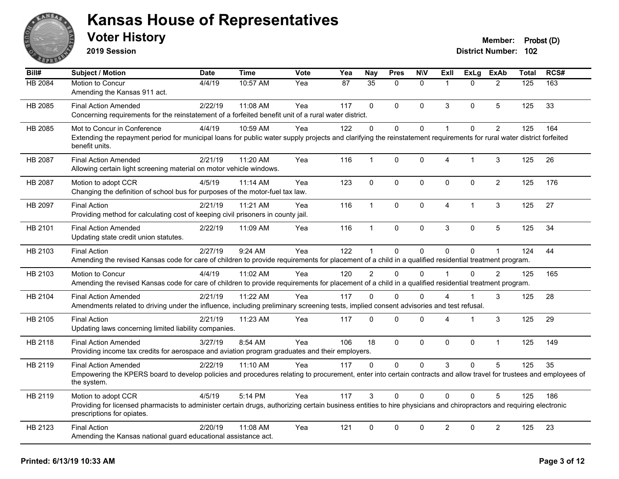

**2019 Session**

| Bill#          | Subject / Motion                                                                                                                                                                                                         | <b>Date</b> | <b>Time</b> | Vote | Yea | <b>Nay</b>      | <b>Pres</b> | <b>NIV</b>   | ExII                   | <b>ExLg</b>    | <b>ExAb</b>    | <b>Total</b> | RCS# |
|----------------|--------------------------------------------------------------------------------------------------------------------------------------------------------------------------------------------------------------------------|-------------|-------------|------|-----|-----------------|-------------|--------------|------------------------|----------------|----------------|--------------|------|
| <b>HB 2084</b> | Motion to Concur<br>Amending the Kansas 911 act.                                                                                                                                                                         | 4/4/19      | 10:57 AM    | Yea  | 87  | $\overline{35}$ | $\Omega$    | $\Omega$     | $\overline{1}$         | $\Omega$       | $\overline{2}$ | 125          | 163  |
| HB 2085        | <b>Final Action Amended</b><br>Concerning requirements for the reinstatement of a forfeited benefit unit of a rural water district.                                                                                      | 2/22/19     | 11:08 AM    | Yea  | 117 | $\Omega$        | $\Omega$    | $\mathbf{0}$ | 3                      | $\Omega$       | 5              | 125          | 33   |
| HB 2085        | Mot to Concur in Conference<br>Extending the repayment period for municipal loans for public water supply projects and clarifying the reinstatement requirements for rural water district forfeited<br>benefit units.    | 4/4/19      | 10:59 AM    | Yea  | 122 | $\mathbf 0$     | 0           | $\mathbf 0$  | $\overline{1}$         | $\Omega$       | $\overline{2}$ | 125          | 164  |
| <b>HB 2087</b> | <b>Final Action Amended</b><br>Allowing certain light screening material on motor vehicle windows.                                                                                                                       | 2/21/19     | 11:20 AM    | Yea  | 116 | $\mathbf{1}$    | 0           | $\mathbf 0$  | $\overline{4}$         | 1              | 3              | 125          | 26   |
| HB 2087        | Motion to adopt CCR<br>Changing the definition of school bus for purposes of the motor-fuel tax law.                                                                                                                     | 4/5/19      | 11:14 AM    | Yea  | 123 | $\mathbf{0}$    | 0           | $\mathbf 0$  | $\mathbf{0}$           | $\Omega$       | $\overline{2}$ | 125          | 176  |
| HB 2097        | <b>Final Action</b><br>Providing method for calculating cost of keeping civil prisoners in county jail.                                                                                                                  | 2/21/19     | 11:21 AM    | Yea  | 116 | $\mathbf{1}$    | $\Omega$    | $\mathbf 0$  | $\overline{4}$         | $\overline{1}$ | 3              | 125          | 27   |
| HB 2101        | <b>Final Action Amended</b><br>Updating state credit union statutes.                                                                                                                                                     | 2/22/19     | 11:09 AM    | Yea  | 116 | $\mathbf{1}$    | $\mathbf 0$ | $\pmb{0}$    | $\mathbf{3}$           | 0              | 5              | 125          | 34   |
| HB 2103        | <b>Final Action</b><br>Amending the revised Kansas code for care of children to provide requirements for placement of a child in a qualified residential treatment program.                                              | 2/27/19     | 9:24 AM     | Yea  | 122 | $\mathbf{1}$    | $\mathbf 0$ | 0            | $\Omega$               | $\mathbf 0$    | 1              | 124          | 44   |
| HB 2103        | Motion to Concur<br>Amending the revised Kansas code for care of children to provide requirements for placement of a child in a qualified residential treatment program.                                                 | 4/4/19      | 11:02 AM    | Yea  | 120 | $\mathcal{P}$   | $\Omega$    | $\Omega$     | $\overline{1}$         | $\Omega$       | $\mathcal{P}$  | 125          | 165  |
| HB 2104        | <b>Final Action Amended</b><br>Amendments related to driving under the influence, including preliminary screening tests, implied consent advisories and test refusal.                                                    | 2/21/19     | 11:22 AM    | Yea  | 117 | $\Omega$        | $\Omega$    | $\Omega$     | Δ                      |                | 3              | 125          | 28   |
| HB 2105        | <b>Final Action</b><br>Updating laws concerning limited liability companies.                                                                                                                                             | 2/21/19     | 11:23 AM    | Yea  | 117 | $\mathbf{0}$    | 0           | $\Omega$     | $\boldsymbol{\Lambda}$ | 1              | 3              | 125          | 29   |
| HB 2118        | <b>Final Action Amended</b><br>Providing income tax credits for aerospace and aviation program graduates and their employers.                                                                                            | 3/27/19     | 8:54 AM     | Yea  | 106 | 18              | $\mathbf 0$ | $\mathbf 0$  | $\mathbf 0$            | $\Omega$       | $\mathbf{1}$   | 125          | 149  |
| HB 2119        | <b>Final Action Amended</b><br>Empowering the KPERS board to develop policies and procedures relating to procurement, enter into certain contracts and allow travel for trustees and employees of<br>the system.         | 2/22/19     | $11:10$ AM  | Yea  | 117 | $\Omega$        | $\Omega$    | $\Omega$     | 3                      | $\Omega$       | 5              | 125          | 35   |
| HB 2119        | Motion to adopt CCR<br>Providing for licensed pharmacists to administer certain drugs, authorizing certain business entities to hire physicians and chiropractors and requiring electronic<br>prescriptions for opiates. | 4/5/19      | 5:14 PM     | Yea  | 117 | 3               | $\Omega$    | $\Omega$     | $\Omega$               | $\Omega$       | 5              | 125          | 186  |
| HB 2123        | <b>Final Action</b><br>Amending the Kansas national guard educational assistance act.                                                                                                                                    | 2/20/19     | 11:08 AM    | Yea  | 121 | $\mathbf 0$     | 0           | $\Omega$     | $\overline{2}$         | 0              | $\overline{2}$ | 125          | 23   |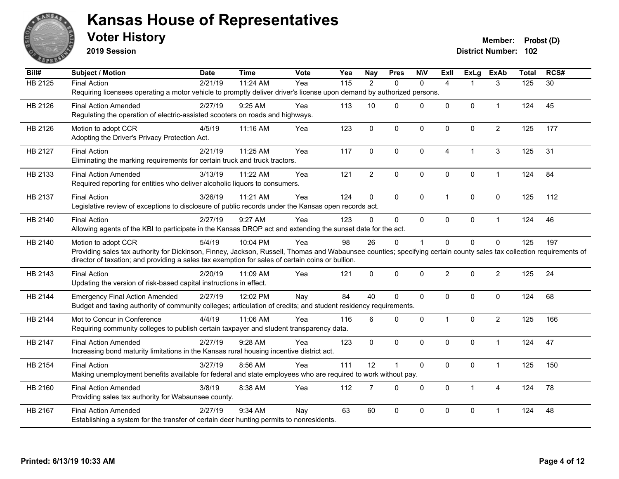

**2019 Session**

| Bill#               | <b>Subject / Motion</b>                                                                                                                                              | <b>Date</b> | <b>Time</b> | Vote | Yea | <b>Nay</b>     | <b>Pres</b>    | <b>NIV</b>   | ExII                 | <b>ExLg</b>             | <b>ExAb</b>    | <b>Total</b> | RCS#            |
|---------------------|----------------------------------------------------------------------------------------------------------------------------------------------------------------------|-------------|-------------|------|-----|----------------|----------------|--------------|----------------------|-------------------------|----------------|--------------|-----------------|
| $\overline{HB2125}$ | <b>Final Action</b>                                                                                                                                                  | 2/21/19     | 11:24 AM    | Yea  | 115 | 2              | $\Omega$       | $\mathbf{0}$ | $\overline{4}$       |                         | 3              | 125          | $\overline{30}$ |
|                     | Requiring licensees operating a motor vehicle to promptly deliver driver's license upon demand by authorized persons.                                                |             |             |      |     |                |                |              |                      |                         |                |              |                 |
| HB 2126             | <b>Final Action Amended</b>                                                                                                                                          | 2/27/19     | 9:25 AM     | Yea  | 113 | 10             | $\Omega$       | $\Omega$     | $\Omega$             | $\mathbf{0}$            | $\mathbf{1}$   | 124          | 45              |
|                     | Regulating the operation of electric-assisted scooters on roads and highways.                                                                                        |             |             |      |     |                |                |              |                      |                         |                |              |                 |
| HB 2126             | Motion to adopt CCR                                                                                                                                                  | 4/5/19      | 11:16 AM    | Yea  | 123 | $\pmb{0}$      | $\mathbf 0$    | $\mathbf 0$  | $\mathbf 0$          | $\mathbf 0$             | $\overline{c}$ | 125          | 177             |
|                     | Adopting the Driver's Privacy Protection Act.                                                                                                                        |             |             |      |     |                |                |              |                      |                         |                |              |                 |
| HB 2127             | <b>Final Action</b>                                                                                                                                                  | 2/21/19     | 11:25 AM    | Yea  | 117 | $\Omega$       | $\mathbf{0}$   | $\Omega$     | $\overline{4}$       | $\overline{\mathbf{1}}$ | 3              | 125          | 31              |
|                     | Eliminating the marking requirements for certain truck and truck tractors.                                                                                           |             |             |      |     |                |                |              |                      |                         |                |              |                 |
| HB 2133             | <b>Final Action Amended</b>                                                                                                                                          | 3/13/19     | 11:22 AM    | Yea  | 121 | $\overline{2}$ | $\pmb{0}$      | $\pmb{0}$    | $\mathbf 0$          | $\pmb{0}$               | $\mathbf{1}$   | 124          | 84              |
|                     | Required reporting for entities who deliver alcoholic liquors to consumers.                                                                                          |             |             |      |     |                |                |              |                      |                         |                |              |                 |
| HB 2137             | <b>Final Action</b>                                                                                                                                                  | 3/26/19     | 11:21 AM    | Yea  | 124 | $\mathbf 0$    | $\Omega$       | $\mathbf 0$  | $\blacktriangleleft$ | $\mathbf{0}$            | $\mathbf{0}$   | 125          | 112             |
|                     | Legislative review of exceptions to disclosure of public records under the Kansas open records act.                                                                  |             |             |      |     |                |                |              |                      |                         |                |              |                 |
| HB 2140             | <b>Final Action</b>                                                                                                                                                  | 2/27/19     | 9:27 AM     | Yea  | 123 | $\Omega$       | $\mathbf{0}$   | $\mathbf 0$  | $\Omega$             | $\mathbf 0$             | $\mathbf{1}$   | 124          | 46              |
|                     | Allowing agents of the KBI to participate in the Kansas DROP act and extending the sunset date for the act.                                                          |             |             |      |     |                |                |              |                      |                         |                |              |                 |
| HB 2140             | Motion to adopt CCR                                                                                                                                                  | 5/4/19      | 10:04 PM    | Yea  | 98  | 26             | $\mathbf{0}$   | $\mathbf{1}$ | $\Omega$             | $\Omega$                | $\mathbf{0}$   | 125          | 197             |
|                     | Providing sales tax authority for Dickinson, Finney, Jackson, Russell, Thomas and Wabaunsee counties; specifying certain county sales tax collection requirements of |             |             |      |     |                |                |              |                      |                         |                |              |                 |
|                     | director of taxation; and providing a sales tax exemption for sales of certain coins or bullion.                                                                     |             |             |      |     |                |                |              |                      |                         |                |              |                 |
| HB 2143             | <b>Final Action</b>                                                                                                                                                  | 2/20/19     | 11:09 AM    | Yea  | 121 | $\Omega$       | $\mathbf{0}$   | $\mathbf 0$  | $\overline{2}$       | $\mathbf 0$             | $\overline{2}$ | 125          | 24              |
|                     | Updating the version of risk-based capital instructions in effect.                                                                                                   |             |             |      |     |                |                |              |                      |                         |                |              |                 |
| HB 2144             | <b>Emergency Final Action Amended</b>                                                                                                                                | 2/27/19     | 12:02 PM    | Nay  | 84  | 40             | $\mathbf{0}$   | $\Omega$     | $\Omega$             | $\mathbf 0$             | 0              | 124          | 68              |
|                     | Budget and taxing authority of community colleges; articulation of credits; and student residency requirements.                                                      |             |             |      |     |                |                |              |                      |                         |                |              |                 |
| HB 2144             | Mot to Concur in Conference                                                                                                                                          | 4/4/19      | 11:06 AM    | Yea  | 116 | 6              | $\Omega$       | $\Omega$     | $\blacktriangleleft$ | $\mathbf{0}$            | $\overline{2}$ | 125          | 166             |
|                     | Requiring community colleges to publish certain taxpayer and student transparency data.                                                                              |             |             |      |     |                |                |              |                      |                         |                |              |                 |
| HB 2147             | <b>Final Action Amended</b>                                                                                                                                          | 2/27/19     | 9:28 AM     | Yea  | 123 | $\mathbf 0$    | $\mathbf{0}$   | $\mathbf 0$  | $\Omega$             | $\mathbf{0}$            | $\mathbf{1}$   | 124          | 47              |
|                     | Increasing bond maturity limitations in the Kansas rural housing incentive district act.                                                                             |             |             |      |     |                |                |              |                      |                         |                |              |                 |
| HB 2154             | <b>Final Action</b>                                                                                                                                                  | 3/27/19     | 8:56 AM     | Yea  | 111 | 12             | $\overline{1}$ | $\pmb{0}$    | $\mathbf 0$          | $\mathbf 0$             | $\mathbf{1}$   | 125          | 150             |
|                     | Making unemployment benefits available for federal and state employees who are required to work without pay.                                                         |             |             |      |     |                |                |              |                      |                         |                |              |                 |
| HB 2160             | <b>Final Action Amended</b>                                                                                                                                          | 3/8/19      | 8:38 AM     | Yea  | 112 | $\overline{7}$ | $\Omega$       | 0            | $\Omega$             | $\overline{1}$          | 4              | 124          | 78              |
|                     | Providing sales tax authority for Wabaunsee county.                                                                                                                  |             |             |      |     |                |                |              |                      |                         |                |              |                 |
| HB 2167             | <b>Final Action Amended</b>                                                                                                                                          | 2/27/19     | 9:34 AM     | Nay  | 63  | 60             | $\mathbf 0$    | 0            | $\Omega$             | $\pmb{0}$               | $\overline{1}$ | 124          | 48              |
|                     | Establishing a system for the transfer of certain deer hunting permits to nonresidents.                                                                              |             |             |      |     |                |                |              |                      |                         |                |              |                 |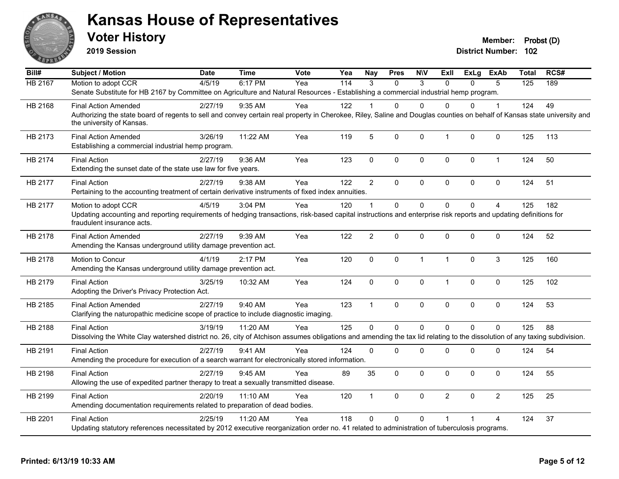

**2019 Session**

| Bill#          | <b>Subject / Motion</b>                                                                                                                                                                               | <b>Date</b> | <b>Time</b> | Vote | Yea              | <b>Nay</b>     | <b>Pres</b> | <b>NIV</b>   | Exll           | ExLg     | <b>ExAb</b>    | <b>Total</b>     | RCS# |
|----------------|-------------------------------------------------------------------------------------------------------------------------------------------------------------------------------------------------------|-------------|-------------|------|------------------|----------------|-------------|--------------|----------------|----------|----------------|------------------|------|
| <b>HB 2167</b> | Motion to adopt CCR                                                                                                                                                                                   | 4/5/19      | 6:17 PM     | Yea  | $\overline{114}$ | $\mathcal{R}$  | $\Omega$    | 3            | $\Omega$       | $\Omega$ | 5              | $\overline{125}$ | 189  |
|                | Senate Substitute for HB 2167 by Committee on Agriculture and Natural Resources - Establishing a commercial industrial hemp program.                                                                  |             |             |      |                  |                |             |              |                |          |                |                  |      |
| HB 2168        | <b>Final Action Amended</b>                                                                                                                                                                           | 2/27/19     | 9:35 AM     | Yea  | 122              |                | 0           | $\Omega$     | <sup>0</sup>   | 0        | 1              | 124              | 49   |
|                | Authorizing the state board of regents to sell and convey certain real property in Cherokee, Riley, Saline and Douglas counties on behalf of Kansas state university and<br>the university of Kansas. |             |             |      |                  |                |             |              |                |          |                |                  |      |
| HB 2173        | <b>Final Action Amended</b><br>Establishing a commercial industrial hemp program.                                                                                                                     | 3/26/19     | 11:22 AM    | Yea  | 119              | 5              | 0           | $\mathbf{0}$ | $\mathbf{1}$   | 0        | $\mathbf 0$    | 125              | 113  |
| HB 2174        | <b>Final Action</b><br>Extending the sunset date of the state use law for five years.                                                                                                                 | 2/27/19     | 9:36 AM     | Yea  | 123              | $\mathbf 0$    | 0           | $\pmb{0}$    | $\mathbf 0$    | 0        | $\mathbf{1}$   | 124              | 50   |
| HB 2177        | <b>Final Action</b>                                                                                                                                                                                   | 2/27/19     | 9:38 AM     | Yea  | 122              | $\overline{2}$ | $\Omega$    | $\mathbf{0}$ | $\mathbf{0}$   | 0        | $\mathbf 0$    | 124              | 51   |
|                | Pertaining to the accounting treatment of certain derivative instruments of fixed index annuities.                                                                                                    |             |             |      |                  |                |             |              |                |          |                |                  |      |
| HB 2177        | Motion to adopt CCR                                                                                                                                                                                   | 4/5/19      | 3:04 PM     | Yea  | 120              |                | $\Omega$    | $\Omega$     | $\Omega$       | $\Omega$ | $\overline{4}$ | 125              | 182  |
|                | Updating accounting and reporting requirements of hedging transactions, risk-based capital instructions and enterprise risk reports and updating definitions for<br>fraudulent insurance acts.        |             |             |      |                  |                |             |              |                |          |                |                  |      |
| HB 2178        | <b>Final Action Amended</b><br>Amending the Kansas underground utility damage prevention act.                                                                                                         | 2/27/19     | 9:39 AM     | Yea  | 122              | $\overline{2}$ | $\Omega$    | $\mathbf{0}$ | $\mathbf{0}$   | 0        | $\mathbf 0$    | 124              | 52   |
| HB 2178        | Motion to Concur                                                                                                                                                                                      | 4/1/19      | 2:17 PM     | Yea  | 120              | $\mathbf{0}$   | 0           | $\mathbf{1}$ | $\overline{1}$ | $\Omega$ | 3              | 125              | 160  |
|                | Amending the Kansas underground utility damage prevention act.                                                                                                                                        |             |             |      |                  |                |             |              |                |          |                |                  |      |
| HB 2179        | <b>Final Action</b>                                                                                                                                                                                   | 3/25/19     | 10:32 AM    | Yea  | 124              | $\mathbf 0$    | 0           | $\mathbf 0$  | $\mathbf{1}$   | 0        | 0              | 125              | 102  |
|                | Adopting the Driver's Privacy Protection Act.                                                                                                                                                         |             |             |      |                  |                |             |              |                |          |                |                  |      |
| HB 2185        | <b>Final Action Amended</b>                                                                                                                                                                           | 2/27/19     | 9:40 AM     | Yea  | 123              | $\mathbf{1}$   | $\Omega$    | $\mathbf 0$  | $\mathbf{0}$   | 0        | $\mathbf 0$    | 124              | 53   |
|                | Clarifying the naturopathic medicine scope of practice to include diagnostic imaging.                                                                                                                 |             |             |      |                  |                |             |              |                |          |                |                  |      |
| HB 2188        | <b>Final Action</b>                                                                                                                                                                                   | 3/19/19     | 11:20 AM    | Yea  | 125              | $\mathbf{0}$   | $\Omega$    | $\Omega$     | $\Omega$       | $\Omega$ | $\mathbf 0$    | 125              | 88   |
|                | Dissolving the White Clay watershed district no. 26, city of Atchison assumes obligations and amending the tax lid relating to the dissolution of any taxing subdivision.                             |             |             |      |                  |                |             |              |                |          |                |                  |      |
| HB 2191        | <b>Final Action</b>                                                                                                                                                                                   | 2/27/19     | 9:41 AM     | Yea  | 124              | $\mathbf{0}$   | 0           | 0            | $\mathbf 0$    | 0        | $\pmb{0}$      | 124              | 54   |
|                | Amending the procedure for execution of a search warrant for electronically stored information.                                                                                                       |             |             |      |                  |                |             |              |                |          |                |                  |      |
| HB 2198        | <b>Final Action</b>                                                                                                                                                                                   | 2/27/19     | 9:45 AM     | Yea  | 89               | 35             | $\Omega$    | $\mathbf{0}$ | $\mathbf{0}$   | 0        | $\mathbf{0}$   | 124              | 55   |
|                | Allowing the use of expedited partner therapy to treat a sexually transmitted disease.                                                                                                                |             |             |      |                  |                |             |              |                |          |                |                  |      |
| HB 2199        | <b>Final Action</b>                                                                                                                                                                                   | 2/20/19     | 11:10 AM    | Yea  | 120              | $\mathbf{1}$   | $\Omega$    | $\mathbf{0}$ | $\overline{2}$ | 0        | $\overline{2}$ | 125              | 25   |
|                | Amending documentation requirements related to preparation of dead bodies.                                                                                                                            |             |             |      |                  |                |             |              |                |          |                |                  |      |
| HB 2201        | <b>Final Action</b>                                                                                                                                                                                   | 2/25/19     | 11:20 AM    | Yea  | 118              | $\Omega$       | $\Omega$    | $\Omega$     | $\overline{1}$ |          | 4              | 124              | 37   |
|                | Updating statutory references necessitated by 2012 executive reorganization order no. 41 related to administration of tuberculosis programs.                                                          |             |             |      |                  |                |             |              |                |          |                |                  |      |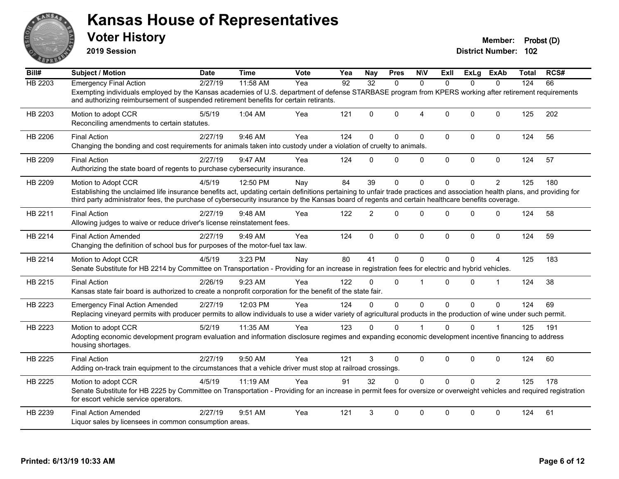

**2019 Session**

| Bill#   | <b>Subject / Motion</b>                                                                                                                                                                                                                                                                                                                              | <b>Date</b> | <b>Time</b> | Vote | Yea | <b>Nay</b>     | <b>Pres</b>  | <b>NIV</b>     | Exll         | ExLg     | ExAb           | <b>Total</b> | RCS# |
|---------|------------------------------------------------------------------------------------------------------------------------------------------------------------------------------------------------------------------------------------------------------------------------------------------------------------------------------------------------------|-------------|-------------|------|-----|----------------|--------------|----------------|--------------|----------|----------------|--------------|------|
| HB 2203 | <b>Emergency Final Action</b>                                                                                                                                                                                                                                                                                                                        | 2/27/19     | 11:58 AM    | Yea  | 92  | 32             | $\Omega$     | $\Omega$       | $\Omega$     | $\Omega$ | $\Omega$       | 124          | 66   |
|         | Exempting individuals employed by the Kansas academies of U.S. department of defense STARBASE program from KPERS working after retirement requirements<br>and authorizing reimbursement of suspended retirement benefits for certain retirants.                                                                                                      |             |             |      |     |                |              |                |              |          |                |              |      |
| HB 2203 | Motion to adopt CCR<br>Reconciling amendments to certain statutes.                                                                                                                                                                                                                                                                                   | 5/5/19      | 1:04 AM     | Yea  | 121 | $\Omega$       | $\mathbf{0}$ | $\overline{4}$ | $\Omega$     | $\Omega$ | $\Omega$       | 125          | 202  |
| HB 2206 | <b>Final Action</b><br>Changing the bonding and cost requirements for animals taken into custody under a violation of cruelty to animals.                                                                                                                                                                                                            | 2/27/19     | 9:46 AM     | Yea  | 124 | $\Omega$       | $\Omega$     | $\Omega$       | $\mathbf{0}$ | $\Omega$ | $\mathbf 0$    | 124          | 56   |
| HB 2209 | <b>Final Action</b><br>Authorizing the state board of regents to purchase cybersecurity insurance.                                                                                                                                                                                                                                                   | 2/27/19     | 9:47 AM     | Yea  | 124 | $\Omega$       | $\mathbf{0}$ | 0              | $\mathbf 0$  | 0        | $\mathbf 0$    | 124          | 57   |
| HB 2209 | Motion to Adopt CCR<br>Establishing the unclaimed life insurance benefits act, updating certain definitions pertaining to unfair trade practices and association health plans, and providing for<br>third party administrator fees, the purchase of cybersecurity insurance by the Kansas board of regents and certain healthcare benefits coverage. | 4/5/19      | 12:50 PM    | Nay  | 84  | 39             | $\mathbf{0}$ | $\Omega$       | $\Omega$     | $\Omega$ | $\overline{2}$ | 125          | 180  |
| HB 2211 | <b>Final Action</b><br>Allowing judges to waive or reduce driver's license reinstatement fees.                                                                                                                                                                                                                                                       | 2/27/19     | 9:48 AM     | Yea  | 122 | $\overline{2}$ | $\Omega$     | $\Omega$       | $\Omega$     | $\Omega$ | $\mathbf{0}$   | 124          | 58   |
| HB 2214 | <b>Final Action Amended</b><br>Changing the definition of school bus for purposes of the motor-fuel tax law.                                                                                                                                                                                                                                         | 2/27/19     | 9:49 AM     | Yea  | 124 | $\mathbf{0}$   | $\Omega$     | $\mathbf 0$    | $\mathbf{0}$ | $\Omega$ | $\mathbf 0$    | 124          | 59   |
| HB 2214 | Motion to Adopt CCR<br>Senate Substitute for HB 2214 by Committee on Transportation - Providing for an increase in registration fees for electric and hybrid vehicles.                                                                                                                                                                               | 4/5/19      | 3:23 PM     | Nav  | 80  | 41             | $\Omega$     | $\Omega$       | $\Omega$     | $\Omega$ | 4              | 125          | 183  |
| HB 2215 | <b>Final Action</b><br>Kansas state fair board is authorized to create a nonprofit corporation for the benefit of the state fair.                                                                                                                                                                                                                    | 2/26/19     | 9:23 AM     | Yea  | 122 | $\Omega$       | $\Omega$     | 1              | $\Omega$     | $\Omega$ | 1              | 124          | 38   |
| HB 2223 | <b>Emergency Final Action Amended</b><br>Replacing vineyard permits with producer permits to allow individuals to use a wider variety of agricultural products in the production of wine under such permit.                                                                                                                                          | 2/27/19     | 12:03 PM    | Yea  | 124 | $\Omega$       | $\Omega$     | $\mathbf 0$    | $\Omega$     | $\Omega$ | $\Omega$       | 124          | 69   |
| HB 2223 | Motion to adopt CCR<br>Adopting economic development program evaluation and information disclosure regimes and expanding economic development incentive financing to address<br>housing shortages.                                                                                                                                                   | 5/2/19      | 11:35 AM    | Yea  | 123 | 0              | $\Omega$     |                | $\Omega$     | 0        |                | 125          | 191  |
| HB 2225 | <b>Final Action</b><br>Adding on-track train equipment to the circumstances that a vehicle driver must stop at railroad crossings.                                                                                                                                                                                                                   | 2/27/19     | 9:50 AM     | Yea  | 121 | 3              | $\Omega$     | $\mathbf 0$    | $\mathbf{0}$ | $\Omega$ | $\mathbf 0$    | 124          | 60   |
| HB 2225 | Motion to adopt CCR<br>Senate Substitute for HB 2225 by Committee on Transportation - Providing for an increase in permit fees for oversize or overweight vehicles and required registration<br>for escort vehicle service operators.                                                                                                                | 4/5/19      | 11:19 AM    | Yea  | 91  | 32             | $\Omega$     | $\Omega$       | $\Omega$     | $\Omega$ | $\overline{2}$ | 125          | 178  |
| HB 2239 | <b>Final Action Amended</b><br>Liquor sales by licensees in common consumption areas.                                                                                                                                                                                                                                                                | 2/27/19     | 9:51 AM     | Yea  | 121 | 3              | $\Omega$     | $\Omega$       | $\Omega$     | $\Omega$ | $\mathbf{0}$   | 124          | 61   |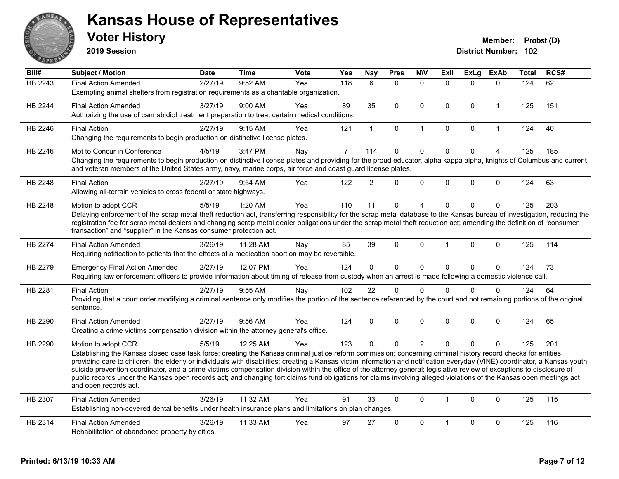

**2019 Session**

| Bill#          | Subject / Motion                                                                                                                                                                                                                                                                                                                                      | <b>Date</b> | Time     | <b>Vote</b> | Yea            | <b>Nay</b>     | <b>Pres</b>  | <b>NIV</b>     | ExII                 | <b>ExLg</b>  | <b>ExAb</b>    | Total | RCS# |
|----------------|-------------------------------------------------------------------------------------------------------------------------------------------------------------------------------------------------------------------------------------------------------------------------------------------------------------------------------------------------------|-------------|----------|-------------|----------------|----------------|--------------|----------------|----------------------|--------------|----------------|-------|------|
| HB 2243        | <b>Final Action Amended</b>                                                                                                                                                                                                                                                                                                                           | 2/27/19     | 9:52 AM  | Yea         | 118            | 6              | $\mathbf{0}$ | $\mathbf{0}$   | $\Omega$             | $\Omega$     | $\mathbf{0}$   | 124   | 62   |
|                | Exempting animal shelters from registration requirements as a charitable organization.                                                                                                                                                                                                                                                                |             |          |             |                |                |              |                |                      |              |                |       |      |
| HB 2244        | <b>Final Action Amended</b>                                                                                                                                                                                                                                                                                                                           | 3/27/19     | 9:00 AM  | Yea         | 89             | 35             | $\mathbf{0}$ | $\Omega$       | $\Omega$             | $\Omega$     | $\overline{1}$ | 125   | 151  |
|                | Authorizing the use of cannabidiol treatment preparation to treat certain medical conditions.                                                                                                                                                                                                                                                         |             |          |             |                |                |              |                |                      |              |                |       |      |
| HB 2246        | <b>Final Action</b>                                                                                                                                                                                                                                                                                                                                   | 2/27/19     | 9:15 AM  | Yea         | 121            | $\mathbf{1}$   | $\mathbf{0}$ | $\mathbf{1}$   | $\Omega$             | $\mathbf 0$  | $\overline{1}$ | 124   | 40   |
|                | Changing the requirements to begin production on distinctive license plates.                                                                                                                                                                                                                                                                          |             |          |             |                |                |              |                |                      |              |                |       |      |
| HB 2246        | Mot to Concur in Conference                                                                                                                                                                                                                                                                                                                           | 4/5/19      | 3:47 PM  | Nay         | $\overline{7}$ | 114            | $\mathbf 0$  | $\mathbf 0$    | $\mathbf 0$          | $\pmb{0}$    | $\overline{4}$ | 125   | 185  |
|                | Changing the requirements to begin production on distinctive license plates and providing for the proud educator, alpha kappa alpha, knights of Columbus and current<br>and veteran members of the United States army, navy, marine corps, air force and coast guard license plates.                                                                  |             |          |             |                |                |              |                |                      |              |                |       |      |
| HB 2248        | <b>Final Action</b>                                                                                                                                                                                                                                                                                                                                   | 2/27/19     | 9:54 AM  | Yea         | 122            | $\overline{2}$ | $\Omega$     | $\Omega$       | $\Omega$             | $\Omega$     | $\mathbf{0}$   | 124   | 63   |
|                | Allowing all-terrain vehicles to cross federal or state highways.                                                                                                                                                                                                                                                                                     |             |          |             |                |                |              |                |                      |              |                |       |      |
| HB 2248        | Motion to adopt CCR                                                                                                                                                                                                                                                                                                                                   | 5/5/19      | 1:20 AM  | Yea         | 110            | 11             | $\Omega$     | 4              | $\Omega$             | $\Omega$     | $\mathbf{0}$   | 125   | 203  |
|                | Delaying enforcement of the scrap metal theft reduction act, transferring responsibility for the scrap metal database to the Kansas bureau of investigation, reducing the                                                                                                                                                                             |             |          |             |                |                |              |                |                      |              |                |       |      |
|                | registration fee for scrap metal dealers and changing scrap metal dealer obligations under the scrap metal theft reduction act; amending the definition of "consumer<br>transaction" and "supplier" in the Kansas consumer protection act.                                                                                                            |             |          |             |                |                |              |                |                      |              |                |       |      |
|                |                                                                                                                                                                                                                                                                                                                                                       |             |          |             |                |                |              |                |                      |              |                |       |      |
| <b>HB 2274</b> | <b>Final Action Amended</b>                                                                                                                                                                                                                                                                                                                           | 3/26/19     | 11:28 AM | Nay         | 85             | 39             | $\mathbf{0}$ | $\Omega$       |                      | $\Omega$     | $\mathbf{0}$   | 125   | 114  |
|                | Requiring notification to patients that the effects of a medication abortion may be reversible.                                                                                                                                                                                                                                                       |             |          |             |                |                |              |                |                      |              |                |       |      |
| HB 2279        | <b>Emergency Final Action Amended</b>                                                                                                                                                                                                                                                                                                                 | 2/27/19     | 12:07 PM | Yea         | 124            | $\Omega$       | $\mathbf{0}$ | 0              | $\Omega$             | $\mathbf{0}$ | $\mathbf{0}$   | 124   | 73   |
|                | Requiring law enforcement officers to provide information about timing of release from custody when an arrest is made following a domestic violence call.                                                                                                                                                                                             |             |          |             |                |                |              |                |                      |              |                |       |      |
| HB 2281        | <b>Final Action</b>                                                                                                                                                                                                                                                                                                                                   | 2/27/19     | 9:55 AM  | Nay         | 102            | 22             | $\mathbf 0$  | $\mathbf{0}$   | 0                    | $\mathbf 0$  | $\mathbf{0}$   | 124   | 64   |
|                | Providing that a court order modifying a criminal sentence only modifies the portion of the sentence referenced by the court and not remaining portions of the original<br>sentence.                                                                                                                                                                  |             |          |             |                |                |              |                |                      |              |                |       |      |
|                |                                                                                                                                                                                                                                                                                                                                                       |             |          |             |                |                |              |                |                      |              |                |       |      |
| HB 2290        | <b>Final Action Amended</b>                                                                                                                                                                                                                                                                                                                           | 2/27/19     | 9:56 AM  | Yea         | 124            | $\Omega$       | $\mathbf{0}$ | $\Omega$       | $\Omega$             | $\Omega$     | $\mathbf{0}$   | 124   | 65   |
|                | Creating a crime victims compensation division within the attorney general's office.                                                                                                                                                                                                                                                                  |             |          |             |                |                |              |                |                      |              |                |       |      |
| HB 2290        | Motion to adopt CCR                                                                                                                                                                                                                                                                                                                                   | 5/5/19      | 12:25 AM | Yea         | 123            | $\mathbf{0}$   | $\Omega$     | $\overline{2}$ | $\Omega$             | $\Omega$     | $\mathbf{0}$   | 125   | 201  |
|                | Establishing the Kansas closed case task force; creating the Kansas criminal justice reform commission; concerning criminal history record checks for entities                                                                                                                                                                                        |             |          |             |                |                |              |                |                      |              |                |       |      |
|                | providing care to children, the elderly or individuals with disabilities; creating a Kansas victim information and notification everyday (VINE) coordinator, a Kansas youth<br>suicide prevention coordinator, and a crime victims compensation division within the office of the attorney general; legislative review of exceptions to disclosure of |             |          |             |                |                |              |                |                      |              |                |       |      |
|                | public records under the Kansas open records act; and changing tort claims fund obligations for claims involving alleged violations of the Kansas open meetings act                                                                                                                                                                                   |             |          |             |                |                |              |                |                      |              |                |       |      |
|                | and open records act.                                                                                                                                                                                                                                                                                                                                 |             |          |             |                |                |              |                |                      |              |                |       |      |
| HB 2307        | <b>Final Action Amended</b>                                                                                                                                                                                                                                                                                                                           | 3/26/19     | 11:32 AM | Yea         | 91             | 33             | $\mathbf{0}$ | $\Omega$       | $\blacktriangleleft$ | $\mathbf{0}$ | $\mathbf{0}$   | 125   | 115  |
|                | Establishing non-covered dental benefits under health insurance plans and limitations on plan changes.                                                                                                                                                                                                                                                |             |          |             |                |                |              |                |                      |              |                |       |      |
| HB 2314        | <b>Final Action Amended</b>                                                                                                                                                                                                                                                                                                                           | 3/26/19     | 11:33 AM | Yea         | 97             | 27             | $\mathbf{0}$ | 0              |                      | $\mathbf 0$  | $\mathbf 0$    | 125   | 116  |
|                | Rehabilitation of abandoned property by cities.                                                                                                                                                                                                                                                                                                       |             |          |             |                |                |              |                |                      |              |                |       |      |
|                |                                                                                                                                                                                                                                                                                                                                                       |             |          |             |                |                |              |                |                      |              |                |       |      |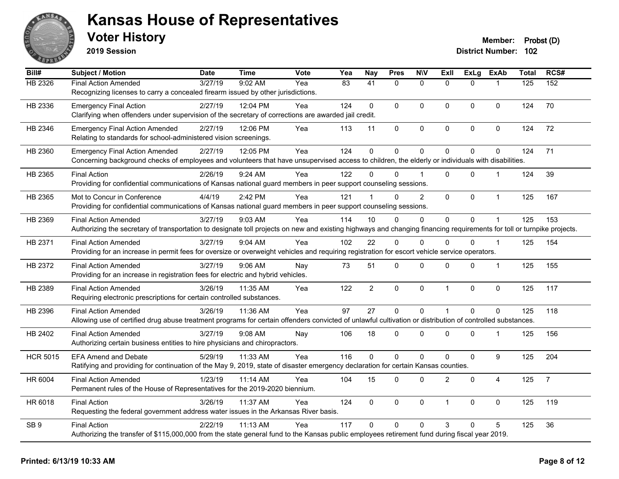

**2019 Session**

| Bill#           | <b>Subject / Motion</b>                                                                                                                                                | Date    | <b>Time</b> | Vote | Yea | <b>Nay</b>     | <b>Pres</b>  | <b>N\V</b>     | ExII           | <b>ExLg</b> | <b>ExAb</b>    | Total | RCS#           |
|-----------------|------------------------------------------------------------------------------------------------------------------------------------------------------------------------|---------|-------------|------|-----|----------------|--------------|----------------|----------------|-------------|----------------|-------|----------------|
| HB 2326         | <b>Final Action Amended</b>                                                                                                                                            | 3/27/19 | 9:02 AM     | Yea  | 83  | 41             | $\Omega$     | $\mathbf{0}$   | $\Omega$       | $\Omega$    | 1              | 125   | 152            |
|                 | Recognizing licenses to carry a concealed firearm issued by other jurisdictions.                                                                                       |         |             |      |     |                |              |                |                |             |                |       |                |
| HB 2336         | <b>Emergency Final Action</b>                                                                                                                                          | 2/27/19 | 12:04 PM    | Yea  | 124 | $\mathbf 0$    | $\Omega$     | $\Omega$       | $\Omega$       | $\mathbf 0$ | $\mathbf{0}$   | 124   | 70             |
|                 | Clarifying when offenders under supervision of the secretary of corrections are awarded jail credit.                                                                   |         |             |      |     |                |              |                |                |             |                |       |                |
| HB 2346         | <b>Emergency Final Action Amended</b>                                                                                                                                  | 2/27/19 | 12:06 PM    | Yea  | 113 | 11             | 0            | $\pmb{0}$      | $\Omega$       | 0           | $\mathbf 0$    | 124   | 72             |
|                 | Relating to standards for school-administered vision screenings.                                                                                                       |         |             |      |     |                |              |                |                |             |                |       |                |
| HB 2360         | <b>Emergency Final Action Amended</b>                                                                                                                                  | 2/27/19 | 12:05 PM    | Yea  | 124 | $\mathbf 0$    | 0            | $\mathbf 0$    | $\mathbf{0}$   | 0           | 0              | 124   | 71             |
|                 | Concerning background checks of employees and volunteers that have unsupervised access to children, the elderly or individuals with disabilities.                      |         |             |      |     |                |              |                |                |             |                |       |                |
| HB 2365         | <b>Final Action</b>                                                                                                                                                    | 2/26/19 | 9:24 AM     | Yea  | 122 | $\Omega$       | $\Omega$     |                | $\Omega$       | $\Omega$    | -1             | 124   | 39             |
|                 | Providing for confidential communications of Kansas national guard members in peer support counseling sessions.                                                        |         |             |      |     |                |              |                |                |             |                |       |                |
| HB 2365         | Mot to Concur in Conference                                                                                                                                            | 4/4/19  | 2:42 PM     | Yea  | 121 |                | 0            | $\overline{2}$ | $\mathbf{0}$   | 0           | $\mathbf{1}$   | 125   | 167            |
|                 | Providing for confidential communications of Kansas national guard members in peer support counseling sessions.                                                        |         |             |      |     |                |              |                |                |             |                |       |                |
| HB 2369         | <b>Final Action Amended</b>                                                                                                                                            | 3/27/19 | 9:03 AM     | Yea  | 114 | 10             | $\Omega$     | $\Omega$       | $\mathbf{0}$   | 0           |                | 125   | 153            |
|                 | Authorizing the secretary of transportation to designate toll projects on new and existing highways and changing financing requirements for toll or turnpike projects. |         |             |      |     |                |              |                |                |             |                |       |                |
| HB 2371         | <b>Final Action Amended</b>                                                                                                                                            | 3/27/19 | 9:04 AM     | Yea  | 102 | 22             | $\Omega$     | $\Omega$       | $\Omega$       | $\Omega$    | $\overline{1}$ | 125   | 154            |
|                 | Providing for an increase in permit fees for oversize or overweight vehicles and requiring registration for escort vehicle service operators.                          |         |             |      |     |                |              |                |                |             |                |       |                |
| HB 2372         | <b>Final Action Amended</b>                                                                                                                                            | 3/27/19 | $9:06$ AM   | Nay  | 73  | 51             | 0            | $\Omega$       | $\Omega$       | 0           | $\mathbf{1}$   | 125   | 155            |
|                 | Providing for an increase in registration fees for electric and hybrid vehicles.                                                                                       |         |             |      |     |                |              |                |                |             |                |       |                |
| HB 2389         | <b>Final Action Amended</b>                                                                                                                                            | 3/26/19 | 11:35 AM    | Yea  | 122 | $\overline{2}$ | 0            | $\pmb{0}$      | $\overline{1}$ | 0           | 0              | 125   | 117            |
|                 | Requiring electronic prescriptions for certain controlled substances.                                                                                                  |         |             |      |     |                |              |                |                |             |                |       |                |
| HB 2396         | <b>Final Action Amended</b>                                                                                                                                            | 3/26/19 | 11:36 AM    | Yea  | 97  | 27             | $\mathbf 0$  | 0              | $\mathbf{1}$   | $\mathbf 0$ | $\mathbf 0$    | 125   | 118            |
|                 | Allowing use of certified drug abuse treatment programs for certain offenders convicted of unlawful cultivation or distribution of controlled substances.              |         |             |      |     |                |              |                |                |             |                |       |                |
| HB 2402         | <b>Final Action Amended</b>                                                                                                                                            | 3/27/19 | $9:08$ AM   | Nay  | 106 | 18             | 0            | $\Omega$       | $\mathbf{0}$   | $\Omega$    | -1             | 125   | 156            |
|                 | Authorizing certain business entities to hire physicians and chiropractors.                                                                                            |         |             |      |     |                |              |                |                |             |                |       |                |
| <b>HCR 5015</b> | <b>EFA Amend and Debate</b>                                                                                                                                            | 5/29/19 | 11:33 AM    | Yea  | 116 | $\Omega$       | $\Omega$     | $\Omega$       | $\Omega$       | 0           | 9              | 125   | 204            |
|                 | Ratifying and providing for continuation of the May 9, 2019, state of disaster emergency declaration for certain Kansas counties.                                      |         |             |      |     |                |              |                |                |             |                |       |                |
| HR 6004         | <b>Final Action Amended</b>                                                                                                                                            | 1/23/19 | 11:14 AM    | Yea  | 104 | 15             | 0            | $\mathbf 0$    | $\overline{c}$ | 0           | 4              | 125   | $\overline{7}$ |
|                 | Permanent rules of the House of Representatives for the 2019-2020 biennium.                                                                                            |         |             |      |     |                |              |                |                |             |                |       |                |
| HR 6018         | <b>Final Action</b>                                                                                                                                                    | 3/26/19 | 11:37 AM    | Yea  | 124 | $\mathbf 0$    | 0            | 0              | $\overline{1}$ | $\Omega$    | $\mathbf 0$    | 125   | 119            |
|                 | Requesting the federal government address water issues in the Arkansas River basis.                                                                                    |         |             |      |     |                |              |                |                |             |                |       |                |
| SB <sub>9</sub> | <b>Final Action</b>                                                                                                                                                    | 2/22/19 | 11:13 AM    | Yea  | 117 | $\Omega$       | $\mathbf{0}$ | $\Omega$       | 3              | 0           | 5              | 125   | 36             |
|                 | Authorizing the transfer of \$115,000,000 from the state general fund to the Kansas public employees retirement fund during fiscal year 2019.                          |         |             |      |     |                |              |                |                |             |                |       |                |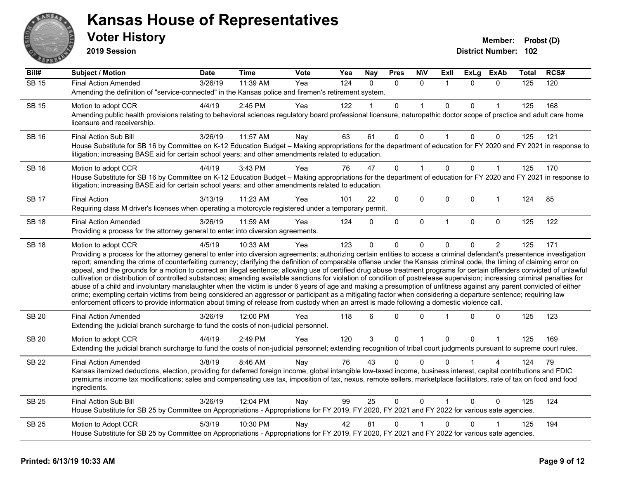

**2019 Session**

| Bill#        | Subject / Motion                                                                                                                                                                                                                                                                                                                                                                                                                                                                                                                                                                                                                                                                                                                                                                                                                                                                                                                                                                                                                                                                                                                                                                                     | <b>Date</b> | <b>Time</b> | Vote | Yea | <b>Nay</b>   | <b>Pres</b>  | <b>NIV</b>   | ExII         | <b>ExLg</b>  | <b>ExAb</b>    | Total | RCS# |
|--------------|------------------------------------------------------------------------------------------------------------------------------------------------------------------------------------------------------------------------------------------------------------------------------------------------------------------------------------------------------------------------------------------------------------------------------------------------------------------------------------------------------------------------------------------------------------------------------------------------------------------------------------------------------------------------------------------------------------------------------------------------------------------------------------------------------------------------------------------------------------------------------------------------------------------------------------------------------------------------------------------------------------------------------------------------------------------------------------------------------------------------------------------------------------------------------------------------------|-------------|-------------|------|-----|--------------|--------------|--------------|--------------|--------------|----------------|-------|------|
| <b>SB 15</b> | <b>Final Action Amended</b>                                                                                                                                                                                                                                                                                                                                                                                                                                                                                                                                                                                                                                                                                                                                                                                                                                                                                                                                                                                                                                                                                                                                                                          | 3/26/19     | 11:39 AM    | Yea  | 124 | $\Omega$     | $\Omega$     | $\mathbf{0}$ | $\mathbf{1}$ | $\Omega$     | $\mathbf{0}$   | 125   | 120  |
|              | Amending the definition of "service-connected" in the Kansas police and firemen's retirement system.                                                                                                                                                                                                                                                                                                                                                                                                                                                                                                                                                                                                                                                                                                                                                                                                                                                                                                                                                                                                                                                                                                 |             |             |      |     |              |              |              |              |              |                |       |      |
| <b>SB 15</b> | Motion to adopt CCR                                                                                                                                                                                                                                                                                                                                                                                                                                                                                                                                                                                                                                                                                                                                                                                                                                                                                                                                                                                                                                                                                                                                                                                  | 4/4/19      | 2:45 PM     | Yea  | 122 |              | $\mathbf 0$  |              | 0            | $\Omega$     |                | 125   | 168  |
|              | Amending public health provisions relating to behavioral sciences regulatory board professional licensure, naturopathic doctor scope of practice and adult care home<br>licensure and receivership.                                                                                                                                                                                                                                                                                                                                                                                                                                                                                                                                                                                                                                                                                                                                                                                                                                                                                                                                                                                                  |             |             |      |     |              |              |              |              |              |                |       |      |
| <b>SB 16</b> | Final Action Sub Bill                                                                                                                                                                                                                                                                                                                                                                                                                                                                                                                                                                                                                                                                                                                                                                                                                                                                                                                                                                                                                                                                                                                                                                                | 3/26/19     | 11:57 AM    | Nay  | 63  | 61           | $\mathbf 0$  | $\Omega$     | 1            | $\Omega$     | $\mathbf 0$    | 125   | 121  |
|              | House Substitute for SB 16 by Committee on K-12 Education Budget - Making appropriations for the department of education for FY 2020 and FY 2021 in response to<br>litigation; increasing BASE aid for certain school years; and other amendments related to education.                                                                                                                                                                                                                                                                                                                                                                                                                                                                                                                                                                                                                                                                                                                                                                                                                                                                                                                              |             |             |      |     |              |              |              |              |              |                |       |      |
| <b>SB 16</b> | Motion to adopt CCR                                                                                                                                                                                                                                                                                                                                                                                                                                                                                                                                                                                                                                                                                                                                                                                                                                                                                                                                                                                                                                                                                                                                                                                  | 4/4/19      | 3:43 PM     | Yea  | 76  | 47           | $\Omega$     |              | $\mathbf{0}$ | $\Omega$     | $\overline{1}$ | 125   | 170  |
|              | House Substitute for SB 16 by Committee on K-12 Education Budget - Making appropriations for the department of education for FY 2020 and FY 2021 in response to<br>litigation; increasing BASE aid for certain school years; and other amendments related to education.                                                                                                                                                                                                                                                                                                                                                                                                                                                                                                                                                                                                                                                                                                                                                                                                                                                                                                                              |             |             |      |     |              |              |              |              |              |                |       |      |
| <b>SB 17</b> | <b>Final Action</b>                                                                                                                                                                                                                                                                                                                                                                                                                                                                                                                                                                                                                                                                                                                                                                                                                                                                                                                                                                                                                                                                                                                                                                                  | 3/13/19     | 11:23 AM    | Yea  | 101 | 22           | $\mathbf 0$  | 0            | $\Omega$     | 0            | $\mathbf{1}$   | 124   | 85   |
|              | Requiring class M driver's licenses when operating a motorcycle registered under a temporary permit.                                                                                                                                                                                                                                                                                                                                                                                                                                                                                                                                                                                                                                                                                                                                                                                                                                                                                                                                                                                                                                                                                                 |             |             |      |     |              |              |              |              |              |                |       |      |
| <b>SB 18</b> | <b>Final Action Amended</b>                                                                                                                                                                                                                                                                                                                                                                                                                                                                                                                                                                                                                                                                                                                                                                                                                                                                                                                                                                                                                                                                                                                                                                          | 3/26/19     | 11:59 AM    | Yea  | 124 | $\Omega$     | $\Omega$     | $\mathbf 0$  | $\mathbf{1}$ | $\mathbf{0}$ | $\mathbf{0}$   | 125   | 122  |
|              | Providing a process for the attorney general to enter into diversion agreements.                                                                                                                                                                                                                                                                                                                                                                                                                                                                                                                                                                                                                                                                                                                                                                                                                                                                                                                                                                                                                                                                                                                     |             |             |      |     |              |              |              |              |              |                |       |      |
| <b>SB 18</b> | Motion to adopt CCR                                                                                                                                                                                                                                                                                                                                                                                                                                                                                                                                                                                                                                                                                                                                                                                                                                                                                                                                                                                                                                                                                                                                                                                  | 4/5/19      | 10:33 AM    | Yea  | 123 | $\mathbf{0}$ | 0            | $\mathbf 0$  | $\Omega$     | $\Omega$     | $\overline{2}$ | 125   | 171  |
|              | Providing a process for the attorney general to enter into diversion agreements; authorizing certain entities to access a criminal defendant's presentence investigation<br>report; amending the crime of counterfeiting currency; clarifying the definition of comparable offense under the Kansas criminal code, the timing of claiming error on<br>appeal, and the grounds for a motion to correct an illegal sentence; allowing use of certified drug abuse treatment programs for certain offenders convicted of unlawful<br>cultivation or distribution of controlled substances; amending available sanctions for violation of condition of postrelease supervision; increasing criminal penalties for<br>abuse of a child and involuntary manslaughter when the victim is under 6 years of age and making a presumption of unfitness against any parent convicted of either<br>crime; exempting certain victims from being considered an aggressor or participant as a mitigating factor when considering a departure sentence; requiring law<br>enforcement officers to provide information about timing of release from custody when an arrest is made following a domestic violence call. |             |             |      |     |              |              |              |              |              |                |       |      |
| <b>SB 20</b> | <b>Final Action Amended</b><br>Extending the judicial branch surcharge to fund the costs of non-judicial personnel.                                                                                                                                                                                                                                                                                                                                                                                                                                                                                                                                                                                                                                                                                                                                                                                                                                                                                                                                                                                                                                                                                  | 3/26/19     | 12:00 PM    | Yea  | 118 | 6            | 0            | $\Omega$     |              | $\Omega$     | $\Omega$       | 125   | 123  |
| <b>SB 20</b> | Motion to adopt CCR                                                                                                                                                                                                                                                                                                                                                                                                                                                                                                                                                                                                                                                                                                                                                                                                                                                                                                                                                                                                                                                                                                                                                                                  | 4/4/19      | 2:49 PM     | Yea  | 120 | $\mathbf{3}$ | $\mathbf 0$  | 1            | $\mathbf 0$  | $\Omega$     | $\mathbf{1}$   | 125   | 169  |
|              | Extending the judicial branch surcharge to fund the costs of non-judicial personnel; extending recognition of tribal court judgments pursuant to supreme court rules.                                                                                                                                                                                                                                                                                                                                                                                                                                                                                                                                                                                                                                                                                                                                                                                                                                                                                                                                                                                                                                |             |             |      |     |              |              |              |              |              |                |       |      |
| SB 22        | <b>Final Action Amended</b>                                                                                                                                                                                                                                                                                                                                                                                                                                                                                                                                                                                                                                                                                                                                                                                                                                                                                                                                                                                                                                                                                                                                                                          | 3/8/19      | 8:46 AM     | Nay  | 76  | 43           | 0            | $\Omega$     |              |              |                | 124   | 79   |
|              | Kansas itemized deductions, election, providing for deferred foreign income, global intangible low-taxed income, business interest, capital contributions and FDIC<br>premiums income tax modifications; sales and compensating use tax, imposition of tax, nexus, remote sellers, marketplace facilitators, rate of tax on food and food<br>ingredients.                                                                                                                                                                                                                                                                                                                                                                                                                                                                                                                                                                                                                                                                                                                                                                                                                                            |             |             |      |     |              |              |              |              |              |                |       |      |
| <b>SB 25</b> | <b>Final Action Sub Bill</b>                                                                                                                                                                                                                                                                                                                                                                                                                                                                                                                                                                                                                                                                                                                                                                                                                                                                                                                                                                                                                                                                                                                                                                         | 3/26/19     | 12:04 PM    | Nay  | 99  | 25           | $\mathbf{0}$ | $\Omega$     | $\mathbf{1}$ | $\Omega$     | $\Omega$       | 125   | 124  |
|              | House Substitute for SB 25 by Committee on Appropriations - Appropriations for FY 2019, FY 2020, FY 2021 and FY 2022 for various sate agencies.                                                                                                                                                                                                                                                                                                                                                                                                                                                                                                                                                                                                                                                                                                                                                                                                                                                                                                                                                                                                                                                      |             |             |      |     |              |              |              |              |              |                |       |      |
| <b>SB 25</b> | Motion to Adopt CCR                                                                                                                                                                                                                                                                                                                                                                                                                                                                                                                                                                                                                                                                                                                                                                                                                                                                                                                                                                                                                                                                                                                                                                                  | 5/3/19      | 10:30 PM    | Nay  | 42  | 81           | 0            |              | $\Omega$     | $\Omega$     |                | 125   | 194  |
|              | House Substitute for SB 25 by Committee on Appropriations - Appropriations for FY 2019, FY 2020, FY 2021 and FY 2022 for various sate agencies.                                                                                                                                                                                                                                                                                                                                                                                                                                                                                                                                                                                                                                                                                                                                                                                                                                                                                                                                                                                                                                                      |             |             |      |     |              |              |              |              |              |                |       |      |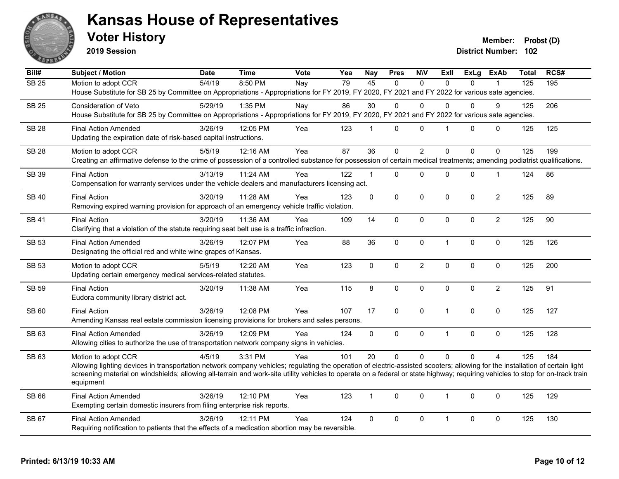

**2019 Session**

**Voter History Member: Probst (D)** 

| Bill#        | Subject / Motion                                                                                                                                                               | <b>Date</b> | <b>Time</b> | Vote | Yea | <b>Nay</b>     | <b>Pres</b> | <b>NIV</b>       | Exll         | <b>ExLg</b> | <b>ExAb</b>    | Total            | RCS# |
|--------------|--------------------------------------------------------------------------------------------------------------------------------------------------------------------------------|-------------|-------------|------|-----|----------------|-------------|------------------|--------------|-------------|----------------|------------------|------|
| <b>SB 25</b> | Motion to adopt CCR                                                                                                                                                            | 5/4/19      | 8:50 PM     | Nay  | 79  | 45             | $\Omega$    | $\mathbf{0}$     | $\Omega$     | $\Omega$    |                | $\overline{125}$ | 195  |
|              | House Substitute for SB 25 by Committee on Appropriations - Appropriations for FY 2019, FY 2020, FY 2021 and FY 2022 for various sate agencies.                                |             |             |      |     |                |             |                  |              |             |                |                  |      |
| <b>SB 25</b> | Consideration of Veto                                                                                                                                                          | 5/29/19     | $1:35$ PM   | Nay  | 86  | 30             | 0           | $\mathbf 0$      | 0            | 0           | 9              | 125              | 206  |
|              | House Substitute for SB 25 by Committee on Appropriations - Appropriations for FY 2019, FY 2020, FY 2021 and FY 2022 for various sate agencies.                                |             |             |      |     |                |             |                  |              |             |                |                  |      |
| <b>SB 28</b> | <b>Final Action Amended</b>                                                                                                                                                    | 3/26/19     | 12:05 PM    | Yea  | 123 | $\mathbf{1}$   | 0           | $\mathbf 0$      | 1            | 0           | $\mathbf 0$    | 125              | 125  |
|              | Updating the expiration date of risk-based capital instructions.                                                                                                               |             |             |      |     |                |             |                  |              |             |                |                  |      |
| <b>SB 28</b> | Motion to adopt CCR                                                                                                                                                            | 5/5/19      | 12:16 AM    | Yea  | 87  | 36             | $\mathbf 0$ | $\overline{2}$   | $\Omega$     | $\Omega$    | $\Omega$       | 125              | 199  |
|              | Creating an affirmative defense to the crime of possession of a controlled substance for possession of certain medical treatments; amending podiatrist qualifications.         |             |             |      |     |                |             |                  |              |             |                |                  |      |
| <b>SB 39</b> | <b>Final Action</b>                                                                                                                                                            | 3/13/19     | 11:24 AM    | Yea  | 122 | $\mathbf{1}$   | 0           | $\mathbf 0$      | $\Omega$     | 0           | $\mathbf{1}$   | 124              | 86   |
|              | Compensation for warranty services under the vehicle dealers and manufacturers licensing act.                                                                                  |             |             |      |     |                |             |                  |              |             |                |                  |      |
|              |                                                                                                                                                                                |             |             |      |     |                |             |                  |              |             |                |                  |      |
| <b>SB 40</b> | <b>Final Action</b><br>Removing expired warning provision for approach of an emergency vehicle traffic violation.                                                              | 3/20/19     | 11:28 AM    | Yea  | 123 | $\mathbf 0$    | $\mathbf 0$ | $\pmb{0}$        | $\mathbf 0$  | 0           | $\overline{2}$ | 125              | 89   |
|              |                                                                                                                                                                                |             |             |      |     |                |             |                  |              |             |                |                  |      |
| <b>SB 41</b> | <b>Final Action</b>                                                                                                                                                            | 3/20/19     | 11:36 AM    | Yea  | 109 | 14             | 0           | $\mathbf 0$      | 0            | 0           | $\overline{2}$ | 125              | 90   |
|              | Clarifying that a violation of the statute requiring seat belt use is a traffic infraction.                                                                                    |             |             |      |     |                |             |                  |              |             |                |                  |      |
| <b>SB 53</b> | <b>Final Action Amended</b>                                                                                                                                                    | 3/26/19     | 12:07 PM    | Yea  | 88  | 36             | 0           | $\pmb{0}$        | $\mathbf{1}$ | 0           | $\pmb{0}$      | 125              | 126  |
|              | Designating the official red and white wine grapes of Kansas.                                                                                                                  |             |             |      |     |                |             |                  |              |             |                |                  |      |
| <b>SB 53</b> | Motion to adopt CCR                                                                                                                                                            | 5/5/19      | 12:20 AM    | Yea  | 123 | $\mathbf 0$    | $\pmb{0}$   | $\boldsymbol{2}$ | $\mathbf 0$  | 0           | $\pmb{0}$      | 125              | 200  |
|              | Updating certain emergency medical services-related statutes.                                                                                                                  |             |             |      |     |                |             |                  |              |             |                |                  |      |
| <b>SB 59</b> | <b>Final Action</b>                                                                                                                                                            | 3/20/19     | 11:38 AM    | Yea  | 115 | 8              | 0           | $\pmb{0}$        | $\Omega$     | 0           | $\overline{2}$ | 125              | 91   |
|              | Eudora community library district act.                                                                                                                                         |             |             |      |     |                |             |                  |              |             |                |                  |      |
| SB 60        | <b>Final Action</b>                                                                                                                                                            | 3/26/19     | 12:08 PM    | Yea  | 107 | 17             | $\mathbf 0$ | $\mathbf 0$      | $\mathbf{1}$ | 0           | $\pmb{0}$      | 125              | 127  |
|              | Amending Kansas real estate commission licensing provisions for brokers and sales persons.                                                                                     |             |             |      |     |                |             |                  |              |             |                |                  |      |
| SB 63        | <b>Final Action Amended</b>                                                                                                                                                    | 3/26/19     | 12:09 PM    | Yea  | 124 | $\mathbf 0$    | $\mathbf 0$ | $\pmb{0}$        | $\mathbf{1}$ | 0           | $\mathbf 0$    | 125              | 128  |
|              | Allowing cities to authorize the use of transportation network company signs in vehicles.                                                                                      |             |             |      |     |                |             |                  |              |             |                |                  |      |
| SB 63        | Motion to adopt CCR                                                                                                                                                            | 4/5/19      | 3:31 PM     | Yea  | 101 | 20             | $\mathbf 0$ | $\mathbf 0$      | $\Omega$     | $\Omega$    | $\overline{A}$ | 125              | 184  |
|              | Allowing lighting devices in transportation network company vehicles; regulating the operation of electric-assisted scooters; allowing for the installation of certain light   |             |             |      |     |                |             |                  |              |             |                |                  |      |
|              | screening material on windshields; allowing all-terrain and work-site utility vehicles to operate on a federal or state highway; requiring vehicles to stop for on-track train |             |             |      |     |                |             |                  |              |             |                |                  |      |
|              | equipment                                                                                                                                                                      |             |             |      |     |                |             |                  |              |             |                |                  |      |
| SB 66        | <b>Final Action Amended</b>                                                                                                                                                    | 3/26/19     | 12:10 PM    | Yea  | 123 | $\overline{1}$ | $\mathbf 0$ | $\pmb{0}$        | $\mathbf{1}$ | $\Omega$    | $\mathbf 0$    | 125              | 129  |
|              | Exempting certain domestic insurers from filing enterprise risk reports.                                                                                                       |             |             |      |     |                |             |                  |              |             |                |                  |      |
| <b>SB 67</b> | <b>Final Action Amended</b>                                                                                                                                                    | 3/26/19     | 12:11 PM    | Yea  | 124 | $\Omega$       | 0           | $\mathbf 0$      | $\mathbf{1}$ | $\mathbf 0$ | $\mathbf 0$    | 125              | 130  |
|              | Requiring notification to patients that the effects of a medication abortion may be reversible.                                                                                |             |             |      |     |                |             |                  |              |             |                |                  |      |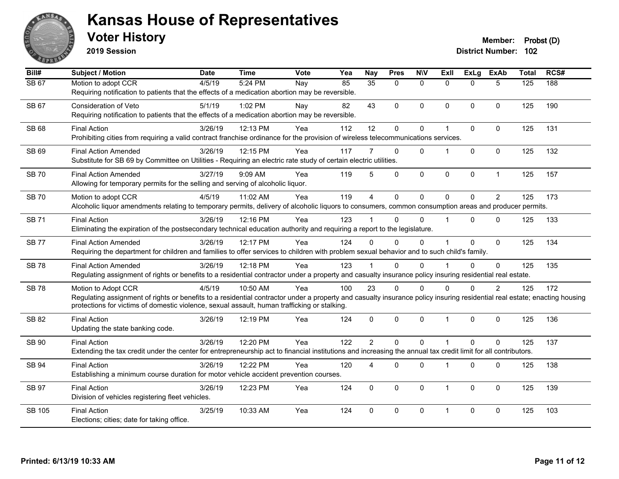

**2019 Session**

| Bill#         | Subject / Motion                                                                                                                                                          | <b>Date</b> | <b>Time</b> | Vote | Yea | <b>Nay</b>     | <b>Pres</b>  | <b>NIV</b>   | ExII           | <b>ExLg</b> | <b>ExAb</b>    | <b>Total</b>     | RCS# |
|---------------|---------------------------------------------------------------------------------------------------------------------------------------------------------------------------|-------------|-------------|------|-----|----------------|--------------|--------------|----------------|-------------|----------------|------------------|------|
| <b>SB 67</b>  | Motion to adopt CCR                                                                                                                                                       | 4/5/19      | 5:24 PM     | Nay  | 85  | 35             | $\Omega$     | $\mathbf{0}$ | $\Omega$       | $\Omega$    | 5              | $\overline{125}$ | 188  |
|               | Requiring notification to patients that the effects of a medication abortion may be reversible.                                                                           |             |             |      |     |                |              |              |                |             |                |                  |      |
| <b>SB 67</b>  | Consideration of Veto                                                                                                                                                     | 5/1/19      | 1:02 PM     | Nay  | 82  | 43             | $\Omega$     | 0            | $\mathbf{0}$   | $\Omega$    | $\mathbf{0}$   | 125              | 190  |
|               | Requiring notification to patients that the effects of a medication abortion may be reversible.                                                                           |             |             |      |     |                |              |              |                |             |                |                  |      |
| SB 68         | <b>Final Action</b>                                                                                                                                                       | 3/26/19     | 12:13 PM    | Yea  | 112 | 12             | 0            | 0            | 1              | 0           | $\mathbf 0$    | 125              | 131  |
|               | Prohibiting cities from requiring a valid contract franchise ordinance for the provision of wireless telecommunications services.                                         |             |             |      |     |                |              |              |                |             |                |                  |      |
| SB 69         | <b>Final Action Amended</b>                                                                                                                                               | 3/26/19     | 12:15 PM    | Yea  | 117 | 7              | $\mathbf{0}$ | $\Omega$     | 1              | $\Omega$    | $\mathbf 0$    | 125              | 132  |
|               | Substitute for SB 69 by Committee on Utilities - Requiring an electric rate study of certain electric utilities.                                                          |             |             |      |     |                |              |              |                |             |                |                  |      |
| <b>SB 70</b>  | <b>Final Action Amended</b>                                                                                                                                               | 3/27/19     | 9:09 AM     | Yea  | 119 | 5              | $\mathbf 0$  | 0            | $\mathbf 0$    | 0           | $\mathbf{1}$   | 125              | 157  |
|               | Allowing for temporary permits for the selling and serving of alcoholic liquor.                                                                                           |             |             |      |     |                |              |              |                |             |                |                  |      |
| <b>SB70</b>   | Motion to adopt CCR                                                                                                                                                       | 4/5/19      | 11:02 AM    | Yea  | 119 | $\overline{4}$ | $\Omega$     | $\Omega$     | $\Omega$       | $\Omega$    | $\overline{2}$ | 125              | 173  |
|               | Alcoholic liquor amendments relating to temporary permits, delivery of alcoholic liquors to consumers, common consumption areas and producer permits.                     |             |             |      |     |                |              |              |                |             |                |                  |      |
| <b>SB71</b>   | <b>Final Action</b>                                                                                                                                                       | 3/26/19     | 12:16 PM    | Yea  | 123 |                | $\Omega$     | $\Omega$     | $\overline{1}$ | $\Omega$    | $\Omega$       | 125              | 133  |
|               | Eliminating the expiration of the postsecondary technical education authority and requiring a report to the legislature.                                                  |             |             |      |     |                |              |              |                |             |                |                  |      |
| <b>SB 77</b>  | <b>Final Action Amended</b>                                                                                                                                               | 3/26/19     | 12:17 PM    | Yea  | 124 | $\Omega$       | $\Omega$     | $\Omega$     |                | $\Omega$    | $\mathbf 0$    | 125              | 134  |
|               | Requiring the department for children and families to offer services to children with problem sexual behavior and to such child's family.                                 |             |             |      |     |                |              |              |                |             |                |                  |      |
| <b>SB78</b>   | <b>Final Action Amended</b>                                                                                                                                               | 3/26/19     | 12:18 PM    | Yea  | 123 |                | $\Omega$     | $\Omega$     |                | $\Omega$    | $\Omega$       | 125              | 135  |
|               | Regulating assignment of rights or benefits to a residential contractor under a property and casualty insurance policy insuring residential real estate.                  |             |             |      |     |                |              |              |                |             |                |                  |      |
| <b>SB78</b>   | Motion to Adopt CCR                                                                                                                                                       | 4/5/19      | 10:50 AM    | Yea  | 100 | 23             | $\Omega$     | $\Omega$     | 0              | 0           | $\overline{2}$ | 125              | 172  |
|               | Regulating assignment of rights or benefits to a residential contractor under a property and casualty insurance policy insuring residential real estate; enacting housing |             |             |      |     |                |              |              |                |             |                |                  |      |
|               | protections for victims of domestic violence, sexual assault, human trafficking or stalking.                                                                              |             |             |      |     |                |              |              |                |             |                |                  |      |
| <b>SB 82</b>  | <b>Final Action</b>                                                                                                                                                       | 3/26/19     | 12:19 PM    | Yea  | 124 | $\mathbf 0$    | 0            | $\pmb{0}$    | $\overline{1}$ | 0           | $\mathbf 0$    | 125              | 136  |
|               | Updating the state banking code.                                                                                                                                          |             |             |      |     |                |              |              |                |             |                |                  |      |
| <b>SB 90</b>  | <b>Final Action</b>                                                                                                                                                       | 3/26/19     | 12:20 PM    | Yea  | 122 | $\overline{2}$ | $\Omega$     | $\Omega$     | $\overline{1}$ | $\Omega$    | $\Omega$       | 125              | 137  |
|               | Extending the tax credit under the center for entrepreneurship act to financial institutions and increasing the annual tax credit limit for all contributors.             |             |             |      |     |                |              |              |                |             |                |                  |      |
| <b>SB 94</b>  | <b>Final Action</b>                                                                                                                                                       | 3/26/19     | 12:22 PM    | Yea  | 120 | 4              | 0            | 0            | $\overline{1}$ | 0           | $\mathbf{0}$   | 125              | 138  |
|               | Establishing a minimum course duration for motor vehicle accident prevention courses.                                                                                     |             |             |      |     |                |              |              |                |             |                |                  |      |
| <b>SB 97</b>  | <b>Final Action</b>                                                                                                                                                       | 3/26/19     | 12:23 PM    | Yea  | 124 | $\mathbf{0}$   | $\mathbf{0}$ | $\Omega$     | $\overline{1}$ | $\mathbf 0$ | $\mathbf{0}$   | 125              | 139  |
|               | Division of vehicles registering fleet vehicles.                                                                                                                          |             |             |      |     |                |              |              |                |             |                |                  |      |
| <b>SB 105</b> | <b>Final Action</b>                                                                                                                                                       | 3/25/19     | 10:33 AM    | Yea  | 124 | $\mathbf{0}$   | $\Omega$     | $\Omega$     | $\overline{1}$ | $\Omega$    | $\mathbf{0}$   | 125              | 103  |
|               | Elections; cities; date for taking office.                                                                                                                                |             |             |      |     |                |              |              |                |             |                |                  |      |